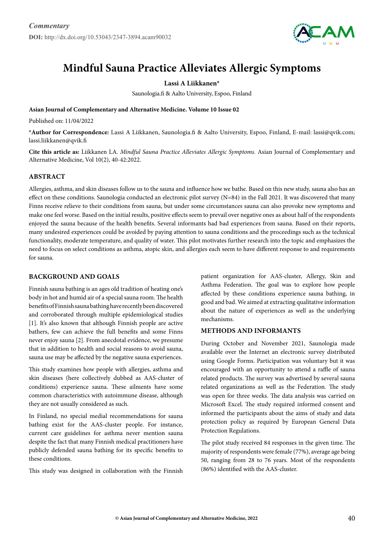

# **Mindful Sauna Practice Alleviates Allergic Symptoms**

## **Lassi A Liikkanen\***

Saunologia.fi & Aalto University, Espoo, Finland

**Asian Journal of Complementary and Alternative Medicine. Volume 10 Issue 02**

Published on: 11/04/2022

**\*Author for Correspondence:** Lassi A Liikkanen, Saunologia.fi & Aalto University, Espoo, Finland, E-mail: lassi@qvik.com; lassi.liikkanen@qvik.fi

**Cite this article as:** Liikkanen LA. *Mindful Sauna Practice Alleviates Allergic Symptoms.* Asian Journal of Complementary and Alternative Medicine, Vol 10(2), 40-42:2022.

### **Abstract**

Allergies, asthma, and skin diseases follow us to the sauna and influence how we bathe. Based on this new study, sauna also has an effect on these conditions. Saunologia conducted an electronic pilot survey  $(N=84)$  in the Fall 2021. It was discovered that many Finns receive relieve to their conditions from sauna, but under some circumstances sauna can also provoke new symptoms and make one feel worse. Based on the initial results, positive effects seem to prevail over negative ones as about half of the respondents enjoyed the sauna because of the health benefits. Several informants had bad experiences from sauna. Based on their reports, many undesired experiences could be avoided by paying attention to sauna conditions and the proceedings such as the technical functionality, moderate temperature, and quality of water. This pilot motivates further research into the topic and emphasizes the need to focus on select conditions as asthma, atopic skin, and allergies each seem to have different response to and requirements for sauna.

## **Background and Goals**

Finnish sauna bathing is an ages old tradition of heating one's body in hot and humid air of a special sauna room. The health benefits of Finnish sauna bathing have recently been discovered and corroborated through multiple epidemiological studies [1]. It's also known that although Finnish people are active bathers, few can achieve the full benefits and some Finns never enjoy sauna [2]. From anecdotal evidence, we presume that in addition to health and social reasons to avoid sauna, sauna use may be affected by the negative sauna experiences.

This study examines how people with allergies, asthma and skin diseases (here collectively dubbed as AAS-cluster of conditions) experience sauna. These ailments have some common characteristics with autoimmune disease, although they are not usually considered as such.

In Finland, no special medial recommendations for sauna bathing exist for the AAS-cluster people. For instance, current care guidelines for asthma never mention sauna despite the fact that many Finnish medical practitioners have publicly defended sauna bathing for its specific benefits to these conditions.

This study was designed in collaboration with the Finnish

patient organization for AAS-cluster, Allergy, Skin and Asthma Federation. The goal was to explore how people affected by these conditions experience sauna bathing, in good and bad. We aimed at extracting qualitative information about the nature of experiences as well as the underlying mechanisms.

#### **Methods and Informants**

During October and November 2021, Saunologia made available over the Internet an electronic survey distributed using Google Forms. Participation was voluntary but it was encouraged with an opportunity to attend a raffle of sauna related products. The survey was advertised by several sauna related organizations as well as the Federation. The study was open for three weeks. The data analysis was carried on Microsoft Excel. The study required informed consent and informed the participants about the aims of study and data protection policy as required by European General Data Protection Regulations.

The pilot study received 84 responses in the given time. The majority of respondents were female (77%), average age being 50, ranging from 28 to 76 years. Most of the respondents (86%) identified with the AAS-cluster.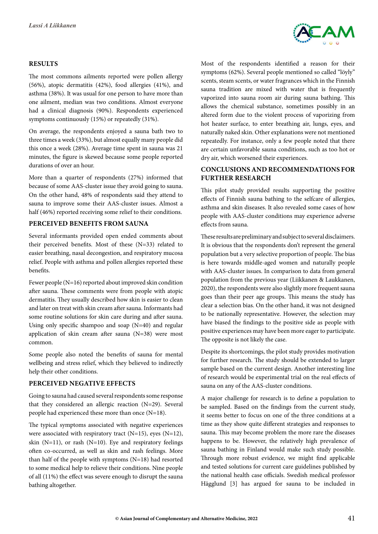

### **Results**

The most commons ailments reported were pollen allergy (56%), atopic dermatitis (42%), food allergies (41%), and asthma (38%). It was usual for one person to have more than one ailment, median was two conditions. Almost everyone had a clinical diagnosis (90%). Respondents experienced symptoms continuously (15%) or repeatedly (31%).

On average, the respondents enjoyed a sauna bath two to three times a week (33%), but almost equally many people did this once a week (28%). Average time spent in sauna was 21 minutes, the figure is skewed because some people reported durations of over an hour.

More than a quarter of respondents (27%) informed that because of some AAS-cluster issue they avoid going to sauna. On the other hand, 48% of respondents said they attend to sauna to improve some their AAS-cluster issues. Almost a half (46%) reported receiving some relief to their conditions.

## **Perceived Benefits from Sauna**

Several informants provided open ended comments about their perceived benefits. Most of these (N=33) related to easier breathing, nasal decongestion, and respiratory mucosa relief. People with asthma and pollen allergies reported these benefits.

Fewer people (N=16) reported about improved skin condition after sauna. These comments were from people with atopic dermatitis. They usually described how skin is easier to clean and later on treat with skin cream after sauna. Informants had some routine solutions for skin care during and after sauna. Using only specific shampoo and soap  $(N=40)$  and regular application of skin cream after sauna (N=38) were most common.

Some people also noted the benefits of sauna for mental wellbeing and stress relief, which they believed to indirectly help their other conditions.

### **Perceived Negative Effects**

Going to sauna had caused several respondents some response that they considered an allergic reaction (N=29). Several people had experienced these more than once (N=18).

The typical symptoms associated with negative experiences were associated with respiratory tract  $(N=15)$ , eyes  $(N=12)$ , skin  $(N=11)$ , or rash  $(N=10)$ . Eye and respiratory feelings often co-occurred, as well as skin and rash feelings. More than half of the people with symptoms (N=18) had resorted to some medical help to relieve their conditions. Nine people of all (11%) the effect was severe enough to disrupt the sauna bathing altogether.

Most of the respondents identified a reason for their symptoms (62%). Several people mentioned so called "löyly" scents, steam scents, or water fragrances which in the Finnish sauna tradition are mixed with water that is frequently vaporized into sauna room air during sauna bathing. This allows the chemical substance, sometimes possibly in an altered form due to the violent process of vaporizing from hot heater surface, to enter breathing air, lungs, eyes, and naturally naked skin. Other explanations were not mentioned repeatedly. For instance, only a few people noted that there are certain unfavorable sauna conditions, such as too hot or dry air, which worsened their experiences.

## **Conclusions and Recommendations for Further Research**

This pilot study provided results supporting the positive effects of Finnish sauna bathing to the selfcare of allergies, asthma and skin diseases. It also revealed some cases of how people with AAS-cluster conditions may experience adverse effects from sauna.

These results are preliminary and subject to several disclaimers. It is obvious that the respondents don't represent the general population but a very selective proportion of people. The bias is here towards middle-aged women and naturally people with AAS-cluster issues. In comparison to data from general population from the previous year (Liikkanen & Laukkanen, 2020), the respondents were also slightly more frequent sauna goes than their peer age groups. This means the study has clear a selection bias. On the other hand, it was not designed to be nationally representative. However, the selection may have biased the findings to the positive side as people with positive experiences may have been more eager to participate. The opposite is not likely the case.

Despite its shortcomings, the pilot study provides motivation for further research. The study should be extended to larger sample based on the current design. Another interesting line of research would be experimental trial on the real effects of sauna on any of the AAS-cluster conditions.

A major challenge for research is to define a population to be sampled. Based on the findings from the current study, it seems better to focus on one of the three conditions at a time as they show quite different strategies and responses to sauna. This may become problem the more rare the diseases happens to be. However, the relatively high prevalence of sauna bathing in Finland would make such study possible. Through more robust evidence, we might find applicable and tested solutions for current care guidelines published by the national health case officials. Swedish medical professor Hägglund [3] has argued for sauna to be included in